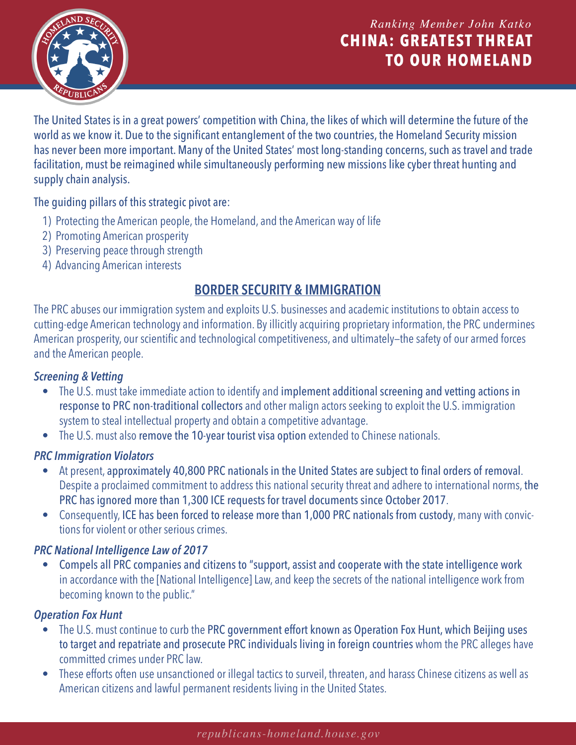

# Ranking Member John Katko **CHINA: GREATEST THREAT TO OUR HOMELAND**

The United States is in a great powers' competition with China, the likes of which will determine the future of the world as we know it. Due to the significant entanglement of the two countries, the Homeland Security mission has never been more important. Many of the United States' most long-standing concerns, such as travel and trade facilitation, must be reimagined while simultaneously performing new missions like cyber threat hunting and supply chain analysis.

### The guiding pillars of this strategic pivot are:

- 1) Protecting the American people, the Homeland, and the American way of life
- 2) Promoting American prosperity
- 3) Preserving peace through strength
- 4) Advancing American interests

# **BORDER SECURITY & IMMIGRATION**

The PRC abuses our immigration system and exploits U.S. businesses and academic institutions to obtain access to cutting-edge American technology and information. By illicitly acquiring proprietary information, the PRC undermines American prosperity, our scientific and technological competitiveness, and ultimately—the safety of our armed forces and the American people.

### *Screening & Vetting*

- The U.S. must take immediate action to identify and implement additional screening and vetting actions in response to PRC non-traditional collectors and other malign actors seeking to exploit the U.S. immigration system to steal intellectual property and obtain a competitive advantage.
- The U.S. must also remove the 10-year tourist visa option extended to Chinese nationals.

#### *PRC Immigration Violators*

- At present, approximately 40,800 PRC nationals in the United States are subject to final orders of removal. Despite a proclaimed commitment to address this national security threat and adhere to international norms, the PRC has ignored more than 1,300 ICE requests for travel documents since October 2017.
- Consequently, ICE has been forced to release more than 1,000 PRC nationals from custody, many with convictions for violent or other serious crimes.

# *PRC National Intelligence Law of 2017*

• Compels all PRC companies and citizens to "support, assist and cooperate with the state intelligence work in accordance with the [National Intelligence] Law, and keep the secrets of the national intelligence work from becoming known to the public."

# *Operation Fox Hunt*

- The U.S. must continue to curb the PRC government effort known as Operation Fox Hunt, which Beijing uses to target and repatriate and prosecute PRC individuals living in foreign countries whom the PRC alleges have committed crimes under PRC law.
- These efforts often use unsanctioned or illegal tactics to surveil, threaten, and harass Chinese citizens as well as American citizens and lawful permanent residents living in the United States.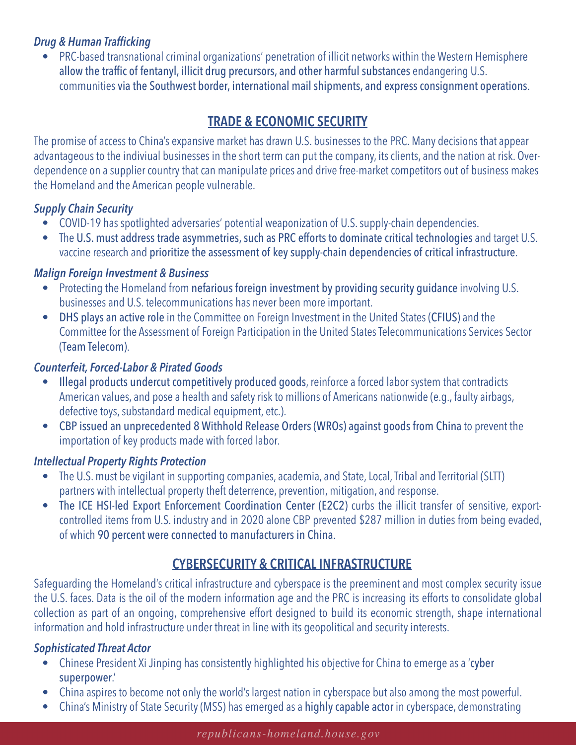## *Drug & Human Trafficking*

• PRC-based transnational criminal organizations' penetration of illicit networks within the Western Hemisphere allow the traffic of fentanyl, illicit drug precursors, and other harmful substances endangering U.S. communities via the Southwest border, international mail shipments, and express consignment operations.

# **TRADE & ECONOMIC SECURITY**

The promise of access to China's expansive market has drawn U.S. businesses to the PRC. Many decisions that appear advantageous to the indiviual businesses in the short term can put the company, its clients, and the nation at risk. Overdependence on a supplier country that can manipulate prices and drive free-market competitors out of business makes the Homeland and the American people vulnerable.

# *Supply Chain Security*

- COVID-19 has spotlighted adversaries' potential weaponization of U.S. supply-chain dependencies.
- The U.S. must address trade asymmetries, such as PRC efforts to dominate critical technologies and target U.S. vaccine research and prioritize the assessment of key supply-chain dependencies of critical infrastructure.

# *Malign Foreign Investment & Business*

- Protecting the Homeland from nefarious foreign investment by providing security guidance involving U.S. businesses and U.S. telecommunications has never been more important.
- DHS plays an active role in the Committee on Foreign Investment in the United States (CFIUS) and the Committee for the Assessment of Foreign Participation in the United States Telecommunications Services Sector (Team Telecom).

# *Counterfeit, Forced-Labor & Pirated Goods*

- Illegal products undercut competitively produced goods, reinforce a forced labor system that contradicts American values, and pose a health and safety risk to millions of Americans nationwide (e.g., faulty airbags, defective toys, substandard medical equipment, etc.).
- CBP issued an unprecedented 8 Withhold Release Orders (WROs) against goods from China to prevent the importation of key products made with forced labor.

# *Intellectual Property Rights Protection*

- The U.S. must be vigilant in supporting companies, academia, and State, Local, Tribal and Territorial (SLTT) partners with intellectual property theft deterrence, prevention, mitigation, and response.
- The ICE HSI-led Export Enforcement Coordination Center (E2C2) curbs the illicit transfer of sensitive, exportcontrolled items from U.S. industry and in 2020 alone CBP prevented \$287 million in duties from being evaded, of which 90 percent were connected to manufacturers in China.

# **CYBERSECURITY & CRITICAL INFRASTRUCTURE**

Safeguarding the Homeland's critical infrastructure and cyberspace is the preeminent and most complex security issue the U.S. faces. Data is the oil of the modern information age and the PRC is increasing its efforts to consolidate global collection as part of an ongoing, comprehensive effort designed to build its economic strength, shape international information and hold infrastructure under threat in line with its geopolitical and security interests.

# *Sophisticated Threat Actor*

- Chinese President Xi Jinping has consistently highlighted his objective for China to emerge as a 'cyber superpower.'
- China aspires to become not only the world's largest nation in cyberspace but also among the most powerful.
- China's Ministry of State Security (MSS) has emerged as a highly capable actor in cyberspace, demonstrating